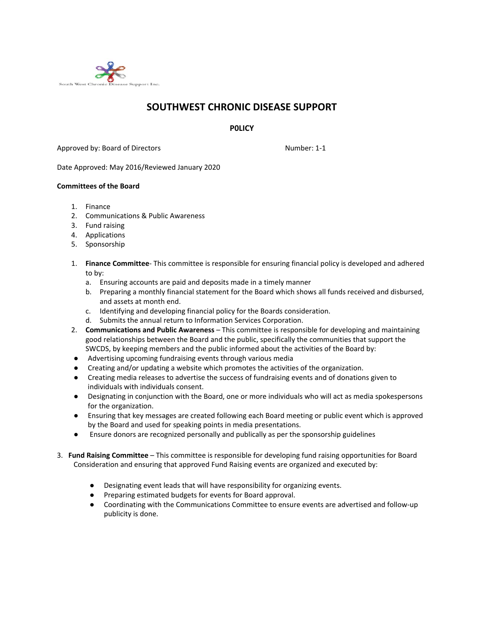

## **SOUTHWEST CHRONIC DISEASE SUPPORT**

**P0LICY**

Approved by: Board of Directors Number: 1-1

Date Approved: May 2016/Reviewed January 2020

## **Committees of the Board**

- 1. Finance
- 2. Communications & Public Awareness
- 3. Fund raising
- 4. Applications
- 5. Sponsorship
- 1. **Finance Committee** This committee is responsible for ensuring financial policy is developed and adhered to by:
	- a. Ensuring accounts are paid and deposits made in a timely manner
	- b. Preparing a monthly financial statement for the Board which shows all funds received and disbursed, and assets at month end.
	- c. Identifying and developing financial policy for the Boards consideration.
	- d. Submits the annual return to Information Services Corporation.
- 2. **Communications and Public Awareness** This committee is responsible for developing and maintaining good relationships between the Board and the public, specifically the communities that support the SWCDS, by keeping members and the public informed about the activities of the Board by:
- Advertising upcoming fundraising events through various media
- Creating and/or updating a website which promotes the activities of the organization.
- Creating media releases to advertise the success of fundraising events and of donations given to individuals with individuals consent.
- Designating in conjunction with the Board, one or more individuals who will act as media spokespersons for the organization.
- Ensuring that key messages are created following each Board meeting or public event which is approved by the Board and used for speaking points in media presentations.
- Ensure donors are recognized personally and publically as per the sponsorship guidelines
- 3. **Fund Raising Committee** This committee is responsible for developing fund raising opportunities for Board Consideration and ensuring that approved Fund Raising events are organized and executed by:
	- Designating event leads that will have responsibility for organizing events.
	- Preparing estimated budgets for events for Board approval.
	- Coordinating with the Communications Committee to ensure events are advertised and follow-up publicity is done.